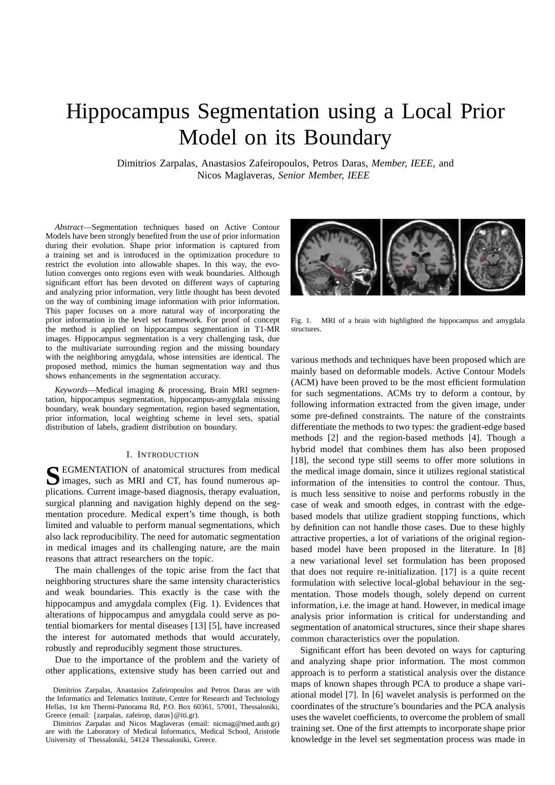# Hippocampus Segmentation using a Local Prior Model on its Boundary

Dimitrios Zarpalas, Anastasios Zafeiropoulos, Petros Daras, *Member, IEEE,* and Nicos Maglaveras, *Senior Member, IEEE*

*Abstract*—Segmentation techniques based on Active Contour Models have been strongly benefited from the use of prior information during their evolution. Shape prior information is captured from a training set and is introduced in the optimization procedure to restrict the evolution into allowable shapes. In this way, the evolution converges onto regions even with weak boundaries. Although significant effort has been devoted on different ways of capturing and analyzing prior information, very little thought has been devoted on the way of combining image information with prior information. This paper focuses on a more natural way of incorporating the prior information in the level set framework. For proof of concept the method is applied on hippocampus segmentation in T1-MR images. Hippocampus segmentation is a very challenging task, due to the multivariate surrounding region and the missing boundary with the neighboring amygdala, whose intensities are identical. The proposed method, mimics the human segmentation way and thus shows enhancements in the segmentation accuracy.

*Keywords*—Medical imaging & processing, Brain MRI segmentation, hippocampus segmentation, hippocampus-amygdala missing boundary, weak boundary segmentation, region based segmentation, prior information, local weighting scheme in level sets, spatial distribution of labels, gradient distribution on boundary.

### I. INTRODUCTION

SEGMENTATION of anatomical structures from medical images, such as MRI and CT, has found numerous apimages, such as MRI and CT, has found numerous applications. Current image-based diagnosis, therapy evaluation, surgical planning and navigation highly depend on the segmentation procedure. Medical expert's time though, is both limited and valuable to perform manual segmentations, which also lack reproducibility. The need for automatic segmentation in medical images and its challenging nature, are the main reasons that attract researchers on the topic.

The main challenges of the topic arise from the fact that neighboring structures share the same intensity characteristics and weak boundaries. This exactly is the case with the hippocampus and amygdala complex (Fig. 1). Evidences that alterations of hippocampus and amygdala could serve as potential biomarkers for mental diseases [13] [5], have increased the interest for automated methods that would accurately, robustly and reproducibly segment those structures.

Due to the importance of the problem and the variety of other applications, extensive study has been carried out and



Fig. 1. MRI of a brain with highlighted the hippocampus and amygdala structures.

various methods and techniques have been proposed which are mainly based on deformable models. Active Contour Models (ACM) have been proved to be the most efficient formulation for such segmentations. ACMs try to deform a contour, by following information extracted from the given image, under some pre-defined constraints. The nature of the constraints differentiate the methods to two types: the gradient-edge based methods [2] and the region-based methods [4]. Though a hybrid model that combines them has also been proposed [18], the second type still seems to offer more solutions in the medical image domain, since it utilizes regional statistical information of the intensities to control the contour. Thus, is much less sensitive to noise and performs robustly in the case of weak and smooth edges, in contrast with the edgebased models that utilize gradient stopping functions, which by definition can not handle those cases. Due to these highly attractive properties, a lot of variations of the original regionbased model have been proposed in the literature. In [8] a new variational level set formulation has been proposed that does not require re-initialization. [17] is a quite recent formulation with selective local-global behaviour in the segmentation. Those models though, solely depend on current information, i.e. the image at hand. However, in medical image analysis prior information is critical for understanding and segmentation of anatomical structures, since their shape shares common characteristics over the population.

Significant effort has been devoted on ways for capturing and analyzing shape prior information. The most common approach is to perform a statistical analysis over the distance maps of known shapes through PCA to produce a shape variational model [7]. In [6] wavelet analysis is performed on the coordinates of the structure's boundaries and the PCA analysis uses the wavelet coefficients, to overcome the problem of small training set. One of the first attempts to incorporate shape prior knowledge in the level set segmentation process was made in

Dimitrios Zarpalas, Anastasios Zafeiropoulos and Petros Daras are with the Informatics and Telematics Institute, Centre for Research and Technology Hellas, 1st km Thermi-Panorama Rd, P.O. Box 60361, 57001, Thessaloniki, Greece (email: {zarpalas, zafeirop, daras}@iti.gr).

Dimitrios Zarpalas and Nicos Maglaveras (email: nicmag@med.auth.gr) are with the Laboratory of Medical Informatics, Medical School, Aristotle University of Thessaloniki, 54124 Thessaloniki, Greece.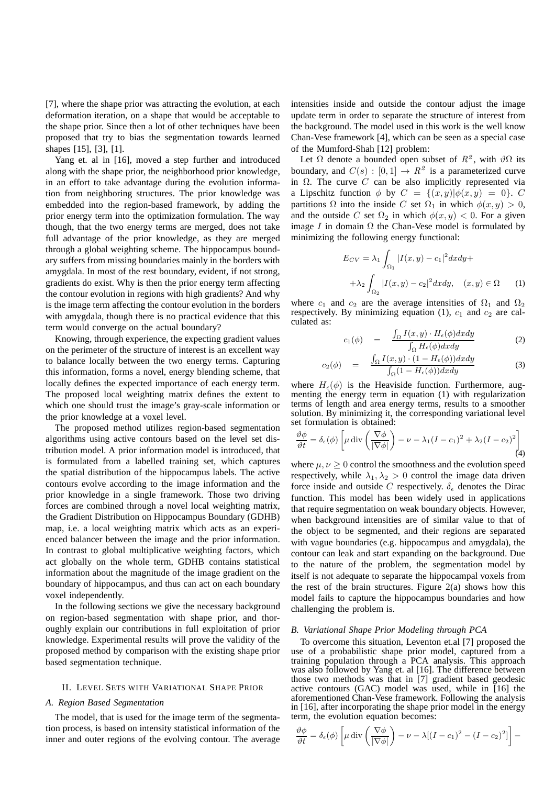[7], where the shape prior was attracting the evolution, at each deformation iteration, on a shape that would be acceptable to the shape prior. Since then a lot of other techniques have been proposed that try to bias the segmentation towards learned shapes [15], [3], [1].

Yang et. al in [16], moved a step further and introduced along with the shape prior, the neighborhood prior knowledge, in an effort to take advantage during the evolution information from neighboring structures. The prior knowledge was embedded into the region-based framework, by adding the prior energy term into the optimization formulation. The way though, that the two energy terms are merged, does not take full advantage of the prior knowledge, as they are merged through a global weighting scheme. The hippocampus boundary suffers from missing boundaries mainly in the borders with amygdala. In most of the rest boundary, evident, if not strong, gradients do exist. Why is then the prior energy term affecting the contour evolution in regions with high gradients? And why is the image term affecting the contour evolution in the borders with amygdala, though there is no practical evidence that this term would converge on the actual boundary?

Knowing, through experience, the expecting gradient values on the perimeter of the structure of interest is an excellent way to balance locally between the two energy terms. Capturing this information, forms a novel, energy blending scheme, that locally defines the expected importance of each energy term. The proposed local weighting matrix defines the extent to which one should trust the image's gray-scale information or the prior knowledge at a voxel level.

The proposed method utilizes region-based segmentation algorithms using active contours based on the level set distribution model. A prior information model is introduced, that is formulated from a labelled training set, which captures the spatial distribution of the hippocampus labels. The active contours evolve according to the image information and the prior knowledge in a single framework. Those two driving forces are combined through a novel local weighting matrix, the Gradient Distribution on Hippocampus Boundary (GDHB) map, i.e. a local weighting matrix which acts as an experienced balancer between the image and the prior information. In contrast to global multiplicative weighting factors, which act globally on the whole term, GDHB contains statistical information about the magnitude of the image gradient on the boundary of hippocampus, and thus can act on each boundary voxel independently.

In the following sections we give the necessary background on region-based segmentation with shape prior, and thoroughly explain our contributions in full exploitation of prior knowledge. Experimental results will prove the validity of the proposed method by comparison with the existing shape prior based segmentation technique.

#### II. LEVEL SETS WITH VARIATIONAL SHAPE PRIOR

#### *A. Region Based Segmentation*

The model, that is used for the image term of the segmentation process, is based on intensity statistical information of the inner and outer regions of the evolving contour. The average intensities inside and outside the contour adjust the image update term in order to separate the structure of interest from the background. The model used in this work is the well know Chan-Vese framework [4], which can be seen as a special case of the Mumford-Shah [12] problem:

Let  $\Omega$  denote a bounded open subset of  $R^2$ , with  $\vartheta\Omega$  its boundary, and  $C(s) : [0,1] \rightarrow R^2$  is a parameterized curve in Ω. The curve  $C$  can be also implicitly represented via a Lipschitz function  $\phi$  by  $C = \{(x, y) | \phi(x, y) = 0\}$ . C partitions  $\Omega$  into the inside C set  $\Omega_1$  in which  $\phi(x, y) > 0$ , and the outside C set  $\Omega_2$  in which  $\phi(x, y) < 0$ . For a given image I in domain  $\Omega$  the Chan-Vese model is formulated by minimizing the following energy functional:

$$
E_{CV} = \lambda_1 \int_{\Omega_1} |I(x, y) - c_1|^2 dx dy +
$$

$$
+ \lambda_2 \int_{\Omega_2} |I(x, y) - c_2|^2 dx dy, \quad (x, y) \in \Omega \quad (1)
$$

where  $c_1$  and  $c_2$  are the average intensities of  $\Omega_1$  and  $\Omega_2$ respectively. By minimizing equation (1),  $c_1$  and  $c_2$  are calculated as:

$$
c_1(\phi) = \frac{\int_{\Omega} I(x, y) \cdot H_{\epsilon}(\phi) dx dy}{\int_{\Omega} H_{\epsilon}(\phi) dx dy}
$$
 (2)

$$
c_2(\phi) = \frac{\int_{\Omega} I(x, y) \cdot (1 - H_{\epsilon}(\phi)) dx dy}{\int_{\Omega} (1 - H_{\epsilon}(\phi)) dx dy}
$$
(3)

where  $H_{\epsilon}(\phi)$  is the Heaviside function. Furthermore, augmenting the energy term in equation (1) with regularization terms of length and area energy terms, results to a smoother solution. By minimizing it, the corresponding variational level set formulation is obtained:

$$
\frac{\vartheta \phi}{\vartheta t} = \delta_{\epsilon}(\phi) \left[ \mu \operatorname{div} \left( \frac{\nabla \phi}{|\nabla \phi|} \right) - \nu - \lambda_1 (I - c_1)^2 + \lambda_2 (I - c_2)^2 \right] \tag{4}
$$

where  $\mu, \nu \geq 0$  control the smoothness and the evolution speed respectively, while  $\lambda_1, \lambda_2 > 0$  control the image data driven force inside and outside C respectively.  $\delta_{\epsilon}$  denotes the Dirac function. This model has been widely used in applications that require segmentation on weak boundary objects. However, when background intensities are of similar value to that of the object to be segmented, and their regions are separated with vague boundaries (e.g. hippocampus and amygdala), the contour can leak and start expanding on the background. Due to the nature of the problem, the segmentation model by itself is not adequate to separate the hippocampal voxels from the rest of the brain structures. Figure  $2(a)$  shows how this model fails to capture the hippocampus boundaries and how challenging the problem is.

## *B. Variational Shape Prior Modeling through PCA*

To overcome this situation, Leventon et.al [7] proposed the use of a probabilistic shape prior model, captured from a training population through a PCA analysis. This approach was also followed by Yang et. al [16]. The difference between those two methods was that in [7] gradient based geodesic active contours (GAC) model was used, while in [16] the aforementioned Chan-Vese framework. Following the analysis in [16], after incorporating the shape prior model in the energy term, the evolution equation becomes:

$$
\frac{\partial \phi}{\partial t} = \delta_{\epsilon}(\phi) \left[ \mu \operatorname{div} \left( \frac{\nabla \phi}{|\nabla \phi|} \right) - \nu - \lambda [(I - c_1)^2 - (I - c_2)^2] \right] -
$$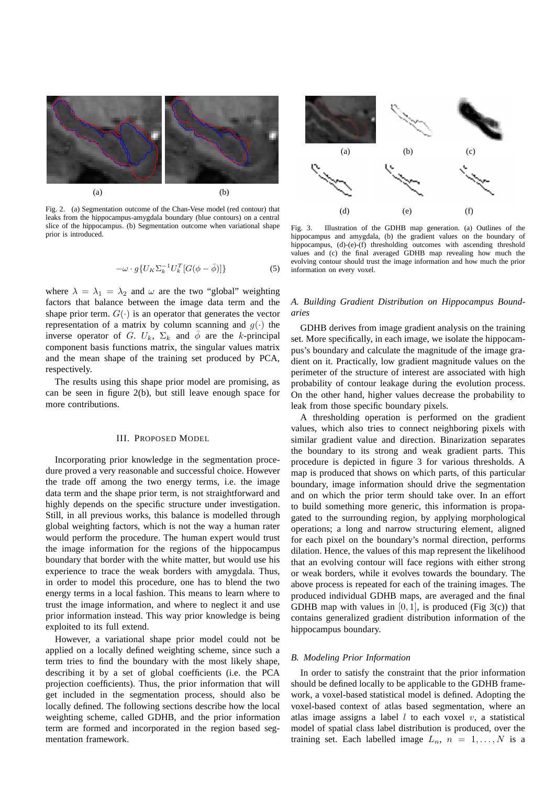

Fig. 2. (a) Segmentation outcome of the Chan-Vese model (red contour) that leaks from the hippocampus-amygdala boundary (blue contours) on a central slice of the hippocampus. (b) Segmentation outcome when variational shape prior is introduced.

$$
-\omega \cdot g\{U_K \Sigma_k^{-1} U_k^T [G(\phi - \bar{\phi})]\}\tag{5}
$$

where  $\lambda = \lambda_1 = \lambda_2$  and  $\omega$  are the two "global" weighting factors that balance between the image data term and the shape prior term.  $G(\cdot)$  is an operator that generates the vector representation of a matrix by column scanning and  $q(\cdot)$  the inverse operator of G.  $U_k$ ,  $\Sigma_k$  and  $\overline{\phi}$  are the k-principal component basis functions matrix, the singular values matrix and the mean shape of the training set produced by PCA, respectively.

The results using this shape prior model are promising, as can be seen in figure 2(b), but still leave enough space for more contributions.

### III. PROPOSED MODEL

Incorporating prior knowledge in the segmentation procedure proved a very reasonable and successful choice. However the trade off among the two energy terms, i.e. the image data term and the shape prior term, is not straightforward and highly depends on the specific structure under investigation. Still, in all previous works, this balance is modelled through global weighting factors, which is not the way a human rater would perform the procedure. The human expert would trust the image information for the regions of the hippocampus boundary that border with the white matter, but would use his experience to trace the weak borders with amygdala. Thus, in order to model this procedure, one has to blend the two energy terms in a local fashion. This means to learn where to trust the image information, and where to neglect it and use prior information instead. This way prior knowledge is being exploited to its full extend.

However, a variational shape prior model could not be applied on a locally defined weighting scheme, since such a term tries to find the boundary with the most likely shape, describing it by a set of global coefficients (i.e. the PCA projection coefficients). Thus, the prior information that will get included in the segmentation process, should also be locally defined. The following sections describe how the local weighting scheme, called GDHB, and the prior information term are formed and incorporated in the region based segmentation framework.



Fig. 3. Illustration of the GDHB map generation. (a) Outlines of the hippocampus and amygdala, (b) the gradient values on the boundary of hippocampus, (d)-(e)-(f) thresholding outcomes with ascending threshold values and (c) the final averaged GDHB map revealing how much the evolving contour should trust the image information and how much the prior information on every voxel.

# *A. Building Gradient Distribution on Hippocampus Boundaries*

GDHB derives from image gradient analysis on the training set. More specifically, in each image, we isolate the hippocampus's boundary and calculate the magnitude of the image gradient on it. Practically, low gradient magnitude values on the perimeter of the structure of interest are associated with high probability of contour leakage during the evolution process. On the other hand, higher values decrease the probability to leak from those specific boundary pixels.

A thresholding operation is performed on the gradient values, which also tries to connect neighboring pixels with similar gradient value and direction. Binarization separates the boundary to its strong and weak gradient parts. This procedure is depicted in figure 3 for various thresholds. A map is produced that shows on which parts, of this particular boundary, image information should drive the segmentation and on which the prior term should take over. In an effort to build something more generic, this information is propagated to the surrounding region, by applying morphological operations; a long and narrow structuring element, aligned for each pixel on the boundary's normal direction, performs dilation. Hence, the values of this map represent the likelihood that an evolving contour will face regions with either strong or weak borders, while it evolves towards the boundary. The above process is repeated for each of the training images. The produced individual GDHB maps, are averaged and the final GDHB map with values in  $[0, 1]$ , is produced (Fig 3(c)) that contains generalized gradient distribution information of the hippocampus boundary.

## *B. Modeling Prior Information*

In order to satisfy the constraint that the prior information should be defined locally to be applicable to the GDHB framework, a voxel-based statistical model is defined. Adopting the voxel-based context of atlas based segmentation, where an atlas image assigns a label  $l$  to each voxel  $v$ , a statistical model of spatial class label distribution is produced, over the training set. Each labelled image  $L_n$ ,  $n = 1, ..., N$  is a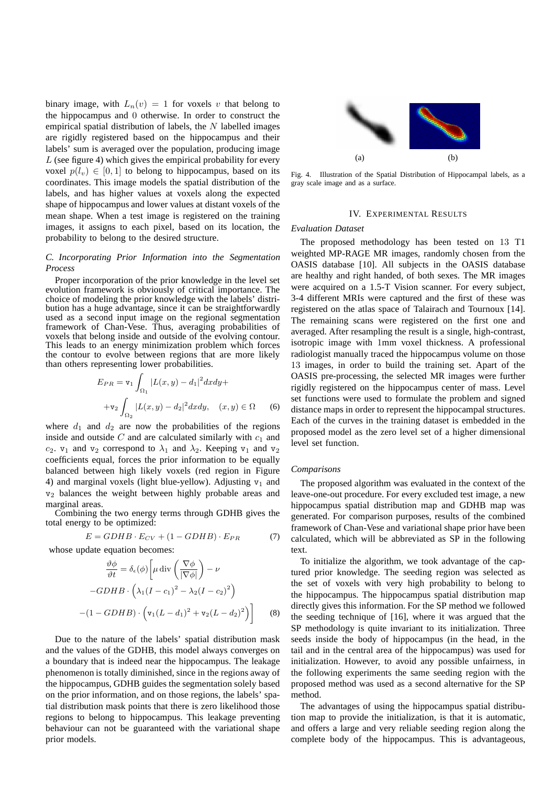binary image, with  $L_n(v) = 1$  for voxels v that belong to the hippocampus and 0 otherwise. In order to construct the empirical spatial distribution of labels, the  $N$  labelled images are rigidly registered based on the hippocampus and their labels' sum is averaged over the population, producing image L (see figure 4) which gives the empirical probability for every voxel  $p(l_v) \in [0, 1]$  to belong to hippocampus, based on its coordinates. This image models the spatial distribution of the labels, and has higher values at voxels along the expected shape of hippocampus and lower values at distant voxels of the mean shape. When a test image is registered on the training images, it assigns to each pixel, based on its location, the probability to belong to the desired structure.

## *C. Incorporating Prior Information into the Segmentation Process*

Proper incorporation of the prior knowledge in the level set evolution framework is obviously of critical importance. The choice of modeling the prior knowledge with the labels' distribution has a huge advantage, since it can be straightforwardly used as a second input image on the regional segmentation framework of Chan-Vese. Thus, averaging probabilities of voxels that belong inside and outside of the evolving contour. This leads to an energy minimization problem which forces the contour to evolve between regions that are more likely than others representing lower probabilities.

$$
E_{PR} = \mathbf{v}_1 \int_{\Omega_1} |L(x, y) - d_1|^2 dx dy +
$$
  
+
$$
\mathbf{v}_2 \int_{\Omega_2} |L(x, y) - d_2|^2 dx dy, \quad (x, y) \in \Omega \quad (6)
$$

where  $d_1$  and  $d_2$  are now the probabilities of the regions inside and outside  $C$  and are calculated similarly with  $c_1$  and  $c_2$ .  $v_1$  and  $v_2$  correspond to  $\lambda_1$  and  $\lambda_2$ . Keeping  $v_1$  and  $v_2$ coefficients equal, forces the prior information to be equally balanced between high likely voxels (red region in Figure 4) and marginal voxels (light blue-yellow). Adjusting  $v_1$  and v<sup>2</sup> balances the weight between highly probable areas and marginal areas.

Combining the two energy terms through GDHB gives the total energy to be optimized:

$$
E = GDHB \cdot E_{CV} + (1 - GDHB) \cdot E_{PR} \tag{7}
$$

whose update equation becomes:

$$
\frac{\partial \phi}{\partial t} = \delta_{\epsilon}(\phi) \left[ \mu \operatorname{div} \left( \frac{\nabla \phi}{|\nabla \phi|} \right) - \nu \right]
$$

$$
-GDHB \cdot \left( \lambda_1 (I - c_1)^2 - \lambda_2 (I - c_2)^2 \right)
$$

$$
-(1 - GDHB) \cdot \left( \mathbf{v}_1 (L - d_1)^2 + \mathbf{v}_2 (L - d_2)^2 \right) \right]
$$
(8)

Due to the nature of the labels' spatial distribution mask and the values of the GDHB, this model always converges on a boundary that is indeed near the hippocampus. The leakage phenomenon is totally diminished, since in the regions away of the hippocampus, GDHB guides the segmentation solely based on the prior information, and on those regions, the labels' spatial distribution mask points that there is zero likelihood those regions to belong to hippocampus. This leakage preventing behaviour can not be guaranteed with the variational shape prior models.



Fig. 4. Illustration of the Spatial Distribution of Hippocampal labels, as a gray scale image and as a surface.

## IV. EXPERIMENTAL RESULTS

## *Evaluation Dataset*

The proposed methodology has been tested on 13 T1 weighted MP-RAGE MR images, randomly chosen from the OASIS database [10]. All subjects in the OASIS database are healthy and right handed, of both sexes. The MR images were acquired on a 1.5-T Vision scanner. For every subject, 3-4 different MRIs were captured and the first of these was registered on the atlas space of Talairach and Tournoux [14]. The remaining scans were registered on the first one and averaged. After resampling the result is a single, high-contrast, isotropic image with 1mm voxel thickness. A professional radiologist manually traced the hippocampus volume on those 13 images, in order to build the training set. Apart of the OASIS pre-processing, the selected MR images were further rigidly registered on the hippocampus center of mass. Level set functions were used to formulate the problem and signed distance maps in order to represent the hippocampal structures. Each of the curves in the training dataset is embedded in the proposed model as the zero level set of a higher dimensional level set function.

## *Comparisons*

The proposed algorithm was evaluated in the context of the leave-one-out procedure. For every excluded test image, a new hippocampus spatial distribution map and GDHB map was generated. For comparison purposes, results of the combined framework of Chan-Vese and variational shape prior have been calculated, which will be abbreviated as SP in the following text.

To initialize the algorithm, we took advantage of the captured prior knowledge. The seeding region was selected as the set of voxels with very high probability to belong to the hippocampus. The hippocampus spatial distribution map directly gives this information. For the SP method we followed the seeding technique of [16], where it was argued that the SP methodology is quite invariant to its initialization. Three seeds inside the body of hippocampus (in the head, in the tail and in the central area of the hippocampus) was used for initialization. However, to avoid any possible unfairness, in the following experiments the same seeding region with the proposed method was used as a second alternative for the SP method.

The advantages of using the hippocampus spatial distribution map to provide the initialization, is that it is automatic, and offers a large and very reliable seeding region along the complete body of the hippocampus. This is advantageous,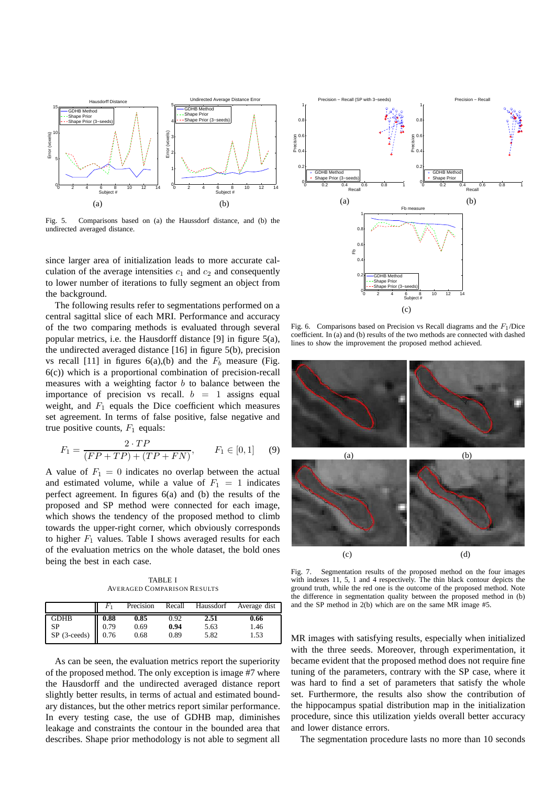

Fig. 5. Comparisons based on (a) the Haussdorf distance, and (b) the undirected averaged distance.

since larger area of initialization leads to more accurate calculation of the average intensities  $c_1$  and  $c_2$  and consequently to lower number of iterations to fully segment an object from the background.

The following results refer to segmentations performed on a central sagittal slice of each MRI. Performance and accuracy of the two comparing methods is evaluated through several popular metrics, i.e. the Hausdorff distance [9] in figure 5(a), the undirected averaged distance [16] in figure 5(b), precision vs recall [11] in figures  $6(a)$ , (b) and the  $F_b$  measure (Fig. 6(c)) which is a proportional combination of precision-recall measures with a weighting factor  $b$  to balance between the importance of precision vs recall.  $b = 1$  assigns equal weight, and  $F_1$  equals the Dice coefficient which measures set agreement. In terms of false positive, false negative and true positive counts,  $F_1$  equals:

$$
F_1 = \frac{2 \cdot TP}{(FP + TP) + (TP + FN)}, \qquad F_1 \in [0, 1] \tag{9}
$$

A value of  $F_1 = 0$  indicates no overlap between the actual and estimated volume, while a value of  $F_1 = 1$  indicates perfect agreement. In figures 6(a) and (b) the results of the proposed and SP method were connected for each image, which shows the tendency of the proposed method to climb towards the upper-right corner, which obviously corresponds to higher  $F_1$  values. Table I shows averaged results for each of the evaluation metrics on the whole dataset, the bold ones being the best in each case.

TABLE I AVERAGED COMPARISON RESULTS

|                                                           |      | Precision | Recall | Haussdorf | Average dist |
|-----------------------------------------------------------|------|-----------|--------|-----------|--------------|
| <b>GDHB</b>                                               | 0.88 | 0.85      | 0.92   | 2.51      | 0.66         |
|                                                           |      | 0.69      | 0.94   | 5.63      | 1.46         |
| SP (3-ceeds) $\begin{bmatrix} 0.79 \\ 0.76 \end{bmatrix}$ |      | 0.68      | 0.89   | 5.82      | 1.53         |

As can be seen, the evaluation metrics report the superiority of the proposed method. The only exception is image #7 where the Hausdorff and the undirected averaged distance report slightly better results, in terms of actual and estimated boundary distances, but the other metrics report similar performance. In every testing case, the use of GDHB map, diminishes leakage and constraints the contour in the bounded area that describes. Shape prior methodology is not able to segment all



Fig. 6. Comparisons based on Precision vs Recall diagrams and the  $F_1$ /Dice coefficient. In  $(a)$  and  $(b)$  results of the two methods are connected with dashed lines to show the improvement the proposed method achieved.



Fig. 7. Segmentation results of the proposed method on the four images with indexes 11, 5, 1 and 4 respectively. The thin black contour depicts the ground truth, while the red one is the outcome of the proposed method. Note the difference in segmentation quality between the proposed method in (b) and the SP method in 2(b) which are on the same MR image #5.

MR images with satisfying results, especially when initialized with the three seeds. Moreover, through experimentation, it became evident that the proposed method does not require fine tuning of the parameters, contrary with the SP case, where it was hard to find a set of parameters that satisfy the whole set. Furthermore, the results also show the contribution of the hippocampus spatial distribution map in the initialization procedure, since this utilization yields overall better accuracy and lower distance errors.

The segmentation procedure lasts no more than 10 seconds